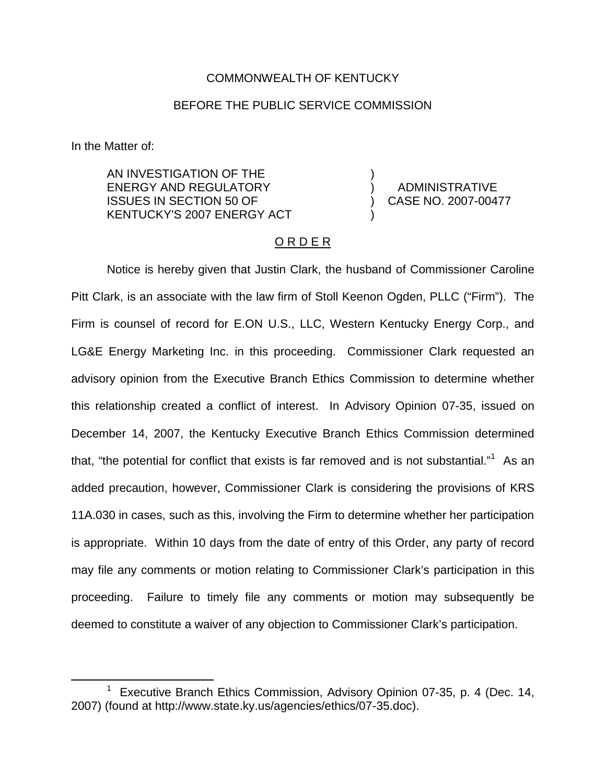## COMMONWEALTH OF KENTUCKY

## BEFORE THE PUBLIC SERVICE COMMISSION

In the Matter of:

AN INVESTIGATION OF THE ENERGY AND REGULATORY ISSUES IN SECTION 50 OF KENTUCKY'S 2007 ENERGY ACT

) ADMINISTRATIVE ) CASE NO. 2007-00477

)

)

## O R D E R

Notice is hereby given that Justin Clark, the husband of Commissioner Caroline Pitt Clark, is an associate with the law firm of Stoll Keenon Ogden, PLLC ("Firm"). The Firm is counsel of record for E.ON U.S., LLC, Western Kentucky Energy Corp., and LG&E Energy Marketing Inc. in this proceeding. Commissioner Clark requested an advisory opinion from the Executive Branch Ethics Commission to determine whether this relationship created a conflict of interest. In Advisory Opinion 07-35, issued on December 14, 2007, the Kentucky Executive Branch Ethics Commission determined that, "the potential for conflict that exists is far removed and is not substantial." $1$  As an added precaution, however, Commissioner Clark is considering the provisions of KRS 11A.030 in cases, such as this, involving the Firm to determine whether her participation is appropriate. Within 10 days from the date of entry of this Order, any party of record may file any comments or motion relating to Commissioner Clark's participation in this proceeding. Failure to timely file any comments or motion may subsequently be deemed to constitute a waiver of any objection to Commissioner Clark's participation.

<sup>&</sup>lt;sup>1</sup> Executive Branch Ethics Commission, Advisory Opinion 07-35, p. 4 (Dec. 14, 2007) (found at http://www.state.ky.us/agencies/ethics/07-35.doc).